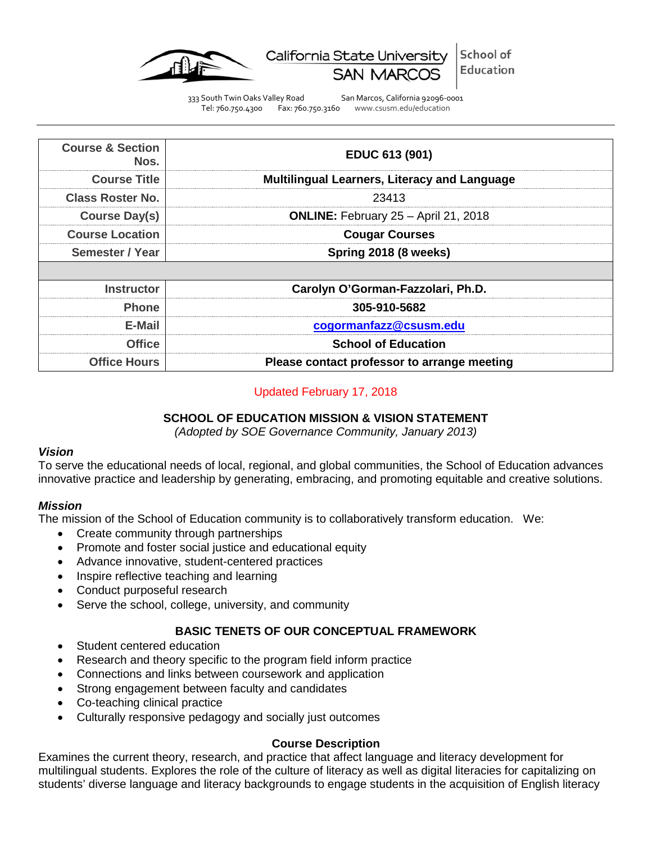

School of California State University Education

333 South Twin Oaks Valley Road San Marcos, California 92096-0001 Tel: 760.750.4300 Fax: 760.750.3160 www.csusm.edu/education

| <b>Course &amp; Section</b><br>Nos. | EDUC 613 (901)                                      |  |
|-------------------------------------|-----------------------------------------------------|--|
| <b>Course Title</b>                 | <b>Multilingual Learners, Literacy and Language</b> |  |
| Class Roster No.                    | 23413                                               |  |
| <b>Course Day(s)</b>                | <b>ONLINE:</b> February 25 - April 21, 2018         |  |
| <b>Course Location</b>              | <b>Cougar Courses</b>                               |  |
| Semester / Year                     | Spring 2018 (8 weeks)                               |  |
|                                     |                                                     |  |
| Instructor                          | Carolyn O'Gorman-Fazzolari, Ph.D.                   |  |
| <b>Phone</b>                        | 305-910-5682                                        |  |
| E-Mail                              | cogormanfazz@csusm.edu                              |  |
| <b>Office</b>                       | <b>School of Education</b>                          |  |
| <b>Office Hours</b>                 | Please contact professor to arrange meeting         |  |

## Updated February 17, 2018

### **SCHOOL OF EDUCATION MISSION & VISION STATEMENT**

*(Adopted by SOE Governance Community, January 2013)*

#### *Vision*

To serve the educational needs of local, regional, and global communities, the School of Education advances innovative practice and leadership by generating, embracing, and promoting equitable and creative solutions.

#### *Mission*

The mission of the School of Education community is to collaboratively transform education. We:

- Create community through partnerships
- Promote and foster social justice and educational equity
- Advance innovative, student-centered practices
- Inspire reflective teaching and learning
- Conduct purposeful research
- Serve the school, college, university, and community

### **BASIC TENETS OF OUR CONCEPTUAL FRAMEWORK**

- Student centered education
- Research and theory specific to the program field inform practice
- Connections and links between coursework and application
- Strong engagement between faculty and candidates
- Co-teaching clinical practice
- Culturally responsive pedagogy and socially just outcomes

### **Course Description**

Examines the current theory, research, and practice that affect language and literacy development for multilingual students. Explores the role of the culture of literacy as well as digital literacies for capitalizing on students' diverse language and literacy backgrounds to engage students in the acquisition of English literacy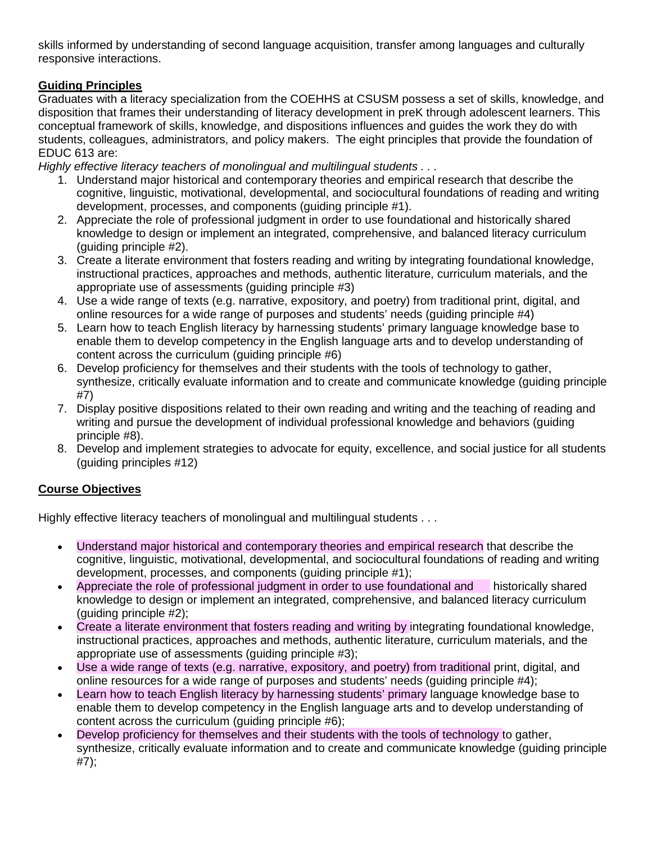skills informed by understanding of second language acquisition, transfer among languages and culturally responsive interactions.

# **Guiding Principles**

Graduates with a literacy specialization from the COEHHS at CSUSM possess a set of skills, knowledge, and disposition that frames their understanding of literacy development in preK through adolescent learners. This conceptual framework of skills, knowledge, and dispositions influences and guides the work they do with students, colleagues, administrators, and policy makers. The eight principles that provide the foundation of EDUC 613 are:

*Highly effective literacy teachers of monolingual and multilingual students . . .*

- 1. Understand major historical and contemporary theories and empirical research that describe the cognitive, linguistic, motivational, developmental, and sociocultural foundations of reading and writing development, processes, and components (guiding principle #1).
- 2. Appreciate the role of professional judgment in order to use foundational and historically shared knowledge to design or implement an integrated, comprehensive, and balanced literacy curriculum (guiding principle #2).
- 3. Create a literate environment that fosters reading and writing by integrating foundational knowledge, instructional practices, approaches and methods, authentic literature, curriculum materials, and the appropriate use of assessments (guiding principle #3)
- 4. Use a wide range of texts (e.g. narrative, expository, and poetry) from traditional print, digital, and online resources for a wide range of purposes and students' needs (guiding principle #4)
- 5. Learn how to teach English literacy by harnessing students' primary language knowledge base to enable them to develop competency in the English language arts and to develop understanding of content across the curriculum (guiding principle #6)
- 6. Develop proficiency for themselves and their students with the tools of technology to gather, synthesize, critically evaluate information and to create and communicate knowledge (guiding principle #7)
- 7. Display positive dispositions related to their own reading and writing and the teaching of reading and writing and pursue the development of individual professional knowledge and behaviors (guiding principle #8).
- 8. Develop and implement strategies to advocate for equity, excellence, and social justice for all students (guiding principles #12)

# **Course Objectives**

Highly effective literacy teachers of monolingual and multilingual students . . .

- Understand major historical and contemporary theories and empirical research that describe the cognitive, linguistic, motivational, developmental, and sociocultural foundations of reading and writing development, processes, and components (guiding principle #1);
- Appreciate the role of professional judgment in order to use foundational and historically shared knowledge to design or implement an integrated, comprehensive, and balanced literacy curriculum (guiding principle #2);
- Create a literate environment that fosters reading and writing by integrating foundational knowledge, instructional practices, approaches and methods, authentic literature, curriculum materials, and the appropriate use of assessments (guiding principle #3);
- Use a wide range of texts (e.g. narrative, expository, and poetry) from traditional print, digital, and online resources for a wide range of purposes and students' needs (guiding principle #4);
- Learn how to teach English literacy by harnessing students' primary language knowledge base to enable them to develop competency in the English language arts and to develop understanding of content across the curriculum (guiding principle #6);
- Develop proficiency for themselves and their students with the tools of technology to gather, synthesize, critically evaluate information and to create and communicate knowledge (guiding principle #7);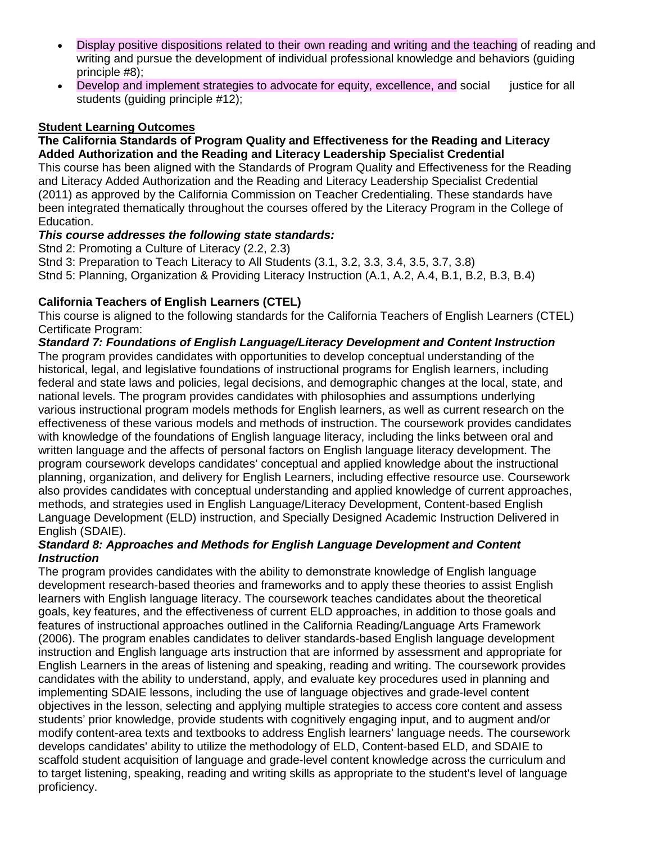- Display positive dispositions related to their own reading and writing and the teaching of reading and writing and pursue the development of individual professional knowledge and behaviors (guiding principle #8);
- Develop and implement strategies to advocate for equity, excellence, and social justice for all students (guiding principle #12);

# **Student Learning Outcomes**

#### **The California Standards of Program Quality and Effectiveness for the Reading and Literacy Added Authorization and the Reading and Literacy Leadership Specialist Credential**

This course has been aligned with the Standards of Program Quality and Effectiveness for the Reading and Literacy Added Authorization and the Reading and Literacy Leadership Specialist Credential (2011) as approved by the California Commission on Teacher Credentialing. These standards have been integrated thematically throughout the courses offered by the Literacy Program in the College of Education.

## *This course addresses the following state standards:*

Stnd 2: Promoting a Culture of Literacy (2.2, 2.3)

Stnd 3: Preparation to Teach Literacy to All Students (3.1, 3.2, 3.3, 3.4, 3.5, 3.7, 3.8)

Stnd 5: Planning, Organization & Providing Literacy Instruction (A.1, A.2, A.4, B.1, B.2, B.3, B.4)

## **California Teachers of English Learners (CTEL)**

This course is aligned to the following standards for the California Teachers of English Learners (CTEL) Certificate Program:

### *Standard 7: Foundations of English Language/Literacy Development and Content Instruction*

The program provides candidates with opportunities to develop conceptual understanding of the historical, legal, and legislative foundations of instructional programs for English learners, including federal and state laws and policies, legal decisions, and demographic changes at the local, state, and national levels. The program provides candidates with philosophies and assumptions underlying various instructional program models methods for English learners, as well as current research on the effectiveness of these various models and methods of instruction. The coursework provides candidates with knowledge of the foundations of English language literacy, including the links between oral and written language and the affects of personal factors on English language literacy development. The program coursework develops candidates' conceptual and applied knowledge about the instructional planning, organization, and delivery for English Learners, including effective resource use. Coursework also provides candidates with conceptual understanding and applied knowledge of current approaches, methods, and strategies used in English Language/Literacy Development, Content-based English Language Development (ELD) instruction, and Specially Designed Academic Instruction Delivered in English (SDAIE).

### *Standard 8: Approaches and Methods for English Language Development and Content Instruction*

The program provides candidates with the ability to demonstrate knowledge of English language development research-based theories and frameworks and to apply these theories to assist English learners with English language literacy. The coursework teaches candidates about the theoretical goals, key features, and the effectiveness of current ELD approaches, in addition to those goals and features of instructional approaches outlined in the California Reading/Language Arts Framework (2006). The program enables candidates to deliver standards-based English language development instruction and English language arts instruction that are informed by assessment and appropriate for English Learners in the areas of listening and speaking, reading and writing. The coursework provides candidates with the ability to understand, apply, and evaluate key procedures used in planning and implementing SDAIE lessons, including the use of language objectives and grade-level content objectives in the lesson, selecting and applying multiple strategies to access core content and assess students' prior knowledge, provide students with cognitively engaging input, and to augment and/or modify content-area texts and textbooks to address English learners' language needs. The coursework develops candidates' ability to utilize the methodology of ELD, Content-based ELD, and SDAIE to scaffold student acquisition of language and grade-level content knowledge across the curriculum and to target listening, speaking, reading and writing skills as appropriate to the student's level of language proficiency.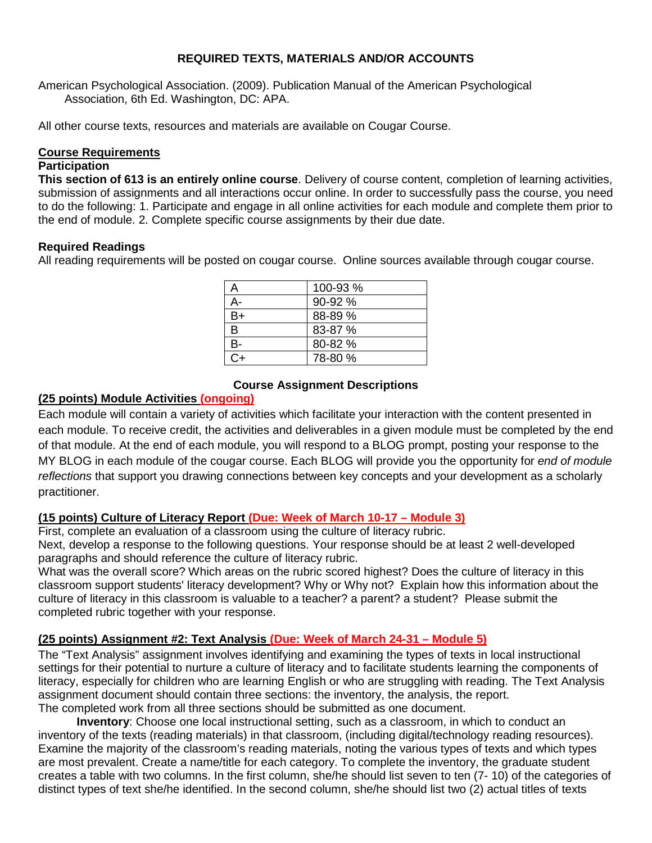## **REQUIRED TEXTS, MATERIALS AND/OR ACCOUNTS**

American Psychological Association. (2009). Publication Manual of the American Psychological Association, 6th Ed. Washington, DC: APA.

All other course texts, resources and materials are available on Cougar Course.

### **Course Requirements**

### **Participation**

**This section of 613 is an entirely online course**. Delivery of course content, completion of learning activities, submission of assignments and all interactions occur online. In order to successfully pass the course, you need to do the following: 1. Participate and engage in all online activities for each module and complete them prior to the end of module. 2. Complete specific course assignments by their due date.

### **Required Readings**

All reading requirements will be posted on cougar course. Online sources available through cougar course.

|              | 100-93 % |
|--------------|----------|
| А-           | 90-92 %  |
| B+           | 88-89 %  |
| <sub>B</sub> | 83-87 %  |
| В-           | 80-82 %  |
| ົ∔           | 78-80 %  |

## **Course Assignment Descriptions**

## **(25 points) Module Activities (ongoing)**

Each module will contain a variety of activities which facilitate your interaction with the content presented in each module. To receive credit, the activities and deliverables in a given module must be completed by the end of that module. At the end of each module, you will respond to a BLOG prompt, posting your response to the MY BLOG in each module of the cougar course. Each BLOG will provide you the opportunity for *end of module reflections* that support you drawing connections between key concepts and your development as a scholarly practitioner.

### **(15 points) Culture of Literacy Report (Due: Week of March 10-17 – Module 3)**

First, complete an evaluation of a classroom using the culture of literacy rubric.

Next, develop a response to the following questions. Your response should be at least 2 well-developed paragraphs and should reference the culture of literacy rubric.

What was the overall score? Which areas on the rubric scored highest? Does the culture of literacy in this classroom support students' literacy development? Why or Why not? Explain how this information about the culture of literacy in this classroom is valuable to a teacher? a parent? a student? Please submit the completed rubric together with your response.

## **(25 points) Assignment #2: Text Analysis (Due: Week of March 24-31 – Module 5)**

The "Text Analysis" assignment involves identifying and examining the types of texts in local instructional settings for their potential to nurture a culture of literacy and to facilitate students learning the components of literacy, especially for children who are learning English or who are struggling with reading. The Text Analysis assignment document should contain three sections: the inventory, the analysis, the report. The completed work from all three sections should be submitted as one document.

**Inventory**: Choose one local instructional setting, such as a classroom, in which to conduct an inventory of the texts (reading materials) in that classroom, (including digital/technology reading resources). Examine the majority of the classroom's reading materials, noting the various types of texts and which types are most prevalent. Create a name/title for each category. To complete the inventory, the graduate student creates a table with two columns. In the first column, she/he should list seven to ten (7- 10) of the categories of distinct types of text she/he identified. In the second column, she/he should list two (2) actual titles of texts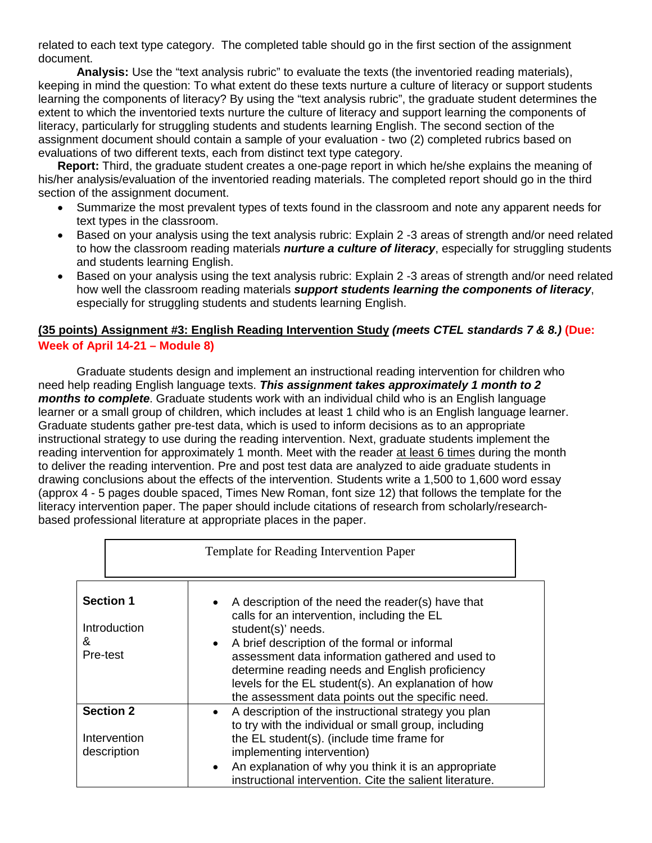related to each text type category. The completed table should go in the first section of the assignment document.

**Analysis:** Use the "text analysis rubric" to evaluate the texts (the inventoried reading materials), keeping in mind the question: To what extent do these texts nurture a culture of literacy or support students learning the components of literacy? By using the "text analysis rubric", the graduate student determines the extent to which the inventoried texts nurture the culture of literacy and support learning the components of literacy, particularly for struggling students and students learning English. The second section of the assignment document should contain a sample of your evaluation - two (2) completed rubrics based on evaluations of two different texts, each from distinct text type category.

**Report:** Third, the graduate student creates a one-page report in which he/she explains the meaning of his/her analysis/evaluation of the inventoried reading materials. The completed report should go in the third section of the assignment document.

- Summarize the most prevalent types of texts found in the classroom and note any apparent needs for text types in the classroom.
- Based on your analysis using the text analysis rubric: Explain 2 -3 areas of strength and/or need related to how the classroom reading materials *nurture a culture of literacy*, especially for struggling students and students learning English.
- Based on your analysis using the text analysis rubric: Explain 2 -3 areas of strength and/or need related how well the classroom reading materials *support students learning the components of literacy*, especially for struggling students and students learning English.

## **(35 points) Assignment #3: English Reading Intervention Study** *(meets CTEL standards 7 & 8.)* **(Due: Week of April 14-21 – Module 8)**

Graduate students design and implement an instructional reading intervention for children who need help reading English language texts. *This assignment takes approximately 1 month to 2 months to complete*. Graduate students work with an individual child who is an English language learner or a small group of children, which includes at least 1 child who is an English language learner. Graduate students gather pre-test data, which is used to inform decisions as to an appropriate instructional strategy to use during the reading intervention. Next, graduate students implement the reading intervention for approximately 1 month. Meet with the reader at least 6 times during the month to deliver the reading intervention. Pre and post test data are analyzed to aide graduate students in drawing conclusions about the effects of the intervention. Students write a 1,500 to 1,600 word essay (approx 4 - 5 pages double spaced, Times New Roman, font size 12) that follows the template for the literacy intervention paper. The paper should include citations of research from scholarly/researchbased professional literature at appropriate places in the paper.

| <b>Template for Reading Intervention Paper</b>    |                                                                                                                                                                                                                                                                                                                                                                                                         |  |  |
|---------------------------------------------------|---------------------------------------------------------------------------------------------------------------------------------------------------------------------------------------------------------------------------------------------------------------------------------------------------------------------------------------------------------------------------------------------------------|--|--|
| <b>Section 1</b><br>Introduction<br>&<br>Pre-test | A description of the need the reader(s) have that<br>calls for an intervention, including the EL<br>student(s)' needs.<br>A brief description of the formal or informal<br>$\bullet$<br>assessment data information gathered and used to<br>determine reading needs and English proficiency<br>levels for the EL student(s). An explanation of how<br>the assessment data points out the specific need. |  |  |
| <b>Section 2</b><br>Intervention<br>description   | A description of the instructional strategy you plan<br>to try with the individual or small group, including<br>the EL student(s). (include time frame for<br>implementing intervention)<br>An explanation of why you think it is an appropriate<br>instructional intervention. Cite the salient literature.                                                                                            |  |  |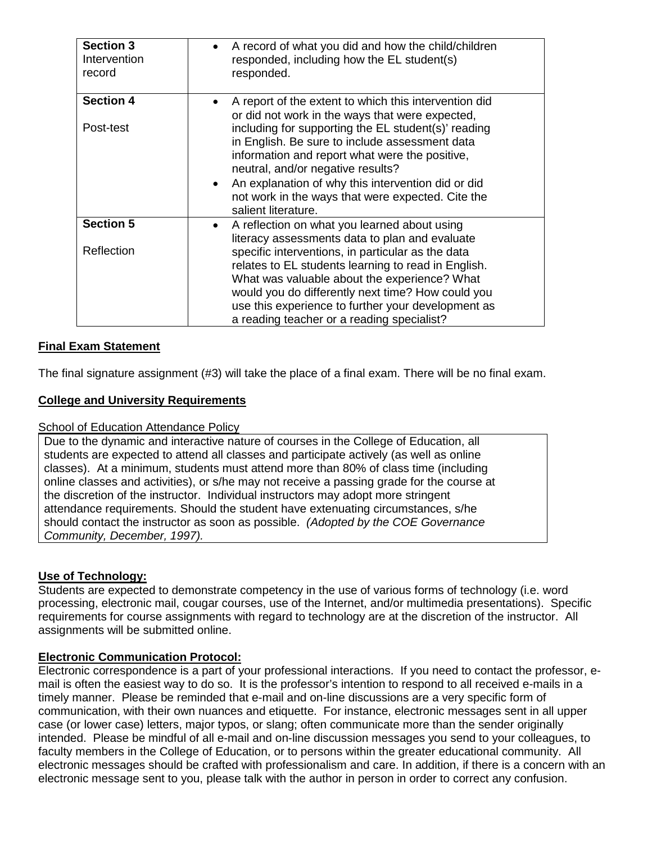| <b>Section 3</b><br>Intervention<br>record | A record of what you did and how the child/children<br>responded, including how the EL student(s)<br>responded.                                                                                                                                                                                                                                                                                                                                         |
|--------------------------------------------|---------------------------------------------------------------------------------------------------------------------------------------------------------------------------------------------------------------------------------------------------------------------------------------------------------------------------------------------------------------------------------------------------------------------------------------------------------|
| <b>Section 4</b><br>Post-test              | A report of the extent to which this intervention did<br>or did not work in the ways that were expected,<br>including for supporting the EL student(s)' reading<br>in English. Be sure to include assessment data<br>information and report what were the positive,<br>neutral, and/or negative results?<br>An explanation of why this intervention did or did<br>$\bullet$<br>not work in the ways that were expected. Cite the<br>salient literature. |
| <b>Section 5</b>                           | A reflection on what you learned about using                                                                                                                                                                                                                                                                                                                                                                                                            |
| Reflection                                 | literacy assessments data to plan and evaluate<br>specific interventions, in particular as the data<br>relates to EL students learning to read in English.<br>What was valuable about the experience? What<br>would you do differently next time? How could you<br>use this experience to further your development as<br>a reading teacher or a reading specialist?                                                                                     |

## **Final Exam Statement**

The final signature assignment (#3) will take the place of a final exam. There will be no final exam.

## **College and University Requirements**

#### School of Education Attendance Policy

Due to the dynamic and interactive nature of courses in the College of Education, all students are expected to attend all classes and participate actively (as well as online classes). At a minimum, students must attend more than 80% of class time (including online classes and activities), or s/he may not receive a passing grade for the course at the discretion of the instructor. Individual instructors may adopt more stringent attendance requirements. Should the student have extenuating circumstances, s/he should contact the instructor as soon as possible. *(Adopted by the COE Governance Community, December, 1997).* 

### **Use of Technology:**

Students are expected to demonstrate competency in the use of various forms of technology (i.e. word processing, electronic mail, cougar courses, use of the Internet, and/or multimedia presentations). Specific requirements for course assignments with regard to technology are at the discretion of the instructor. All assignments will be submitted online.

### **Electronic Communication Protocol:**

Electronic correspondence is a part of your professional interactions. If you need to contact the professor, email is often the easiest way to do so. It is the professor's intention to respond to all received e-mails in a timely manner. Please be reminded that e-mail and on-line discussions are a very specific form of communication, with their own nuances and etiquette. For instance, electronic messages sent in all upper case (or lower case) letters, major typos, or slang; often communicate more than the sender originally intended. Please be mindful of all e-mail and on-line discussion messages you send to your colleagues, to faculty members in the College of Education, or to persons within the greater educational community. All electronic messages should be crafted with professionalism and care. In addition, if there is a concern with an electronic message sent to you, please talk with the author in person in order to correct any confusion.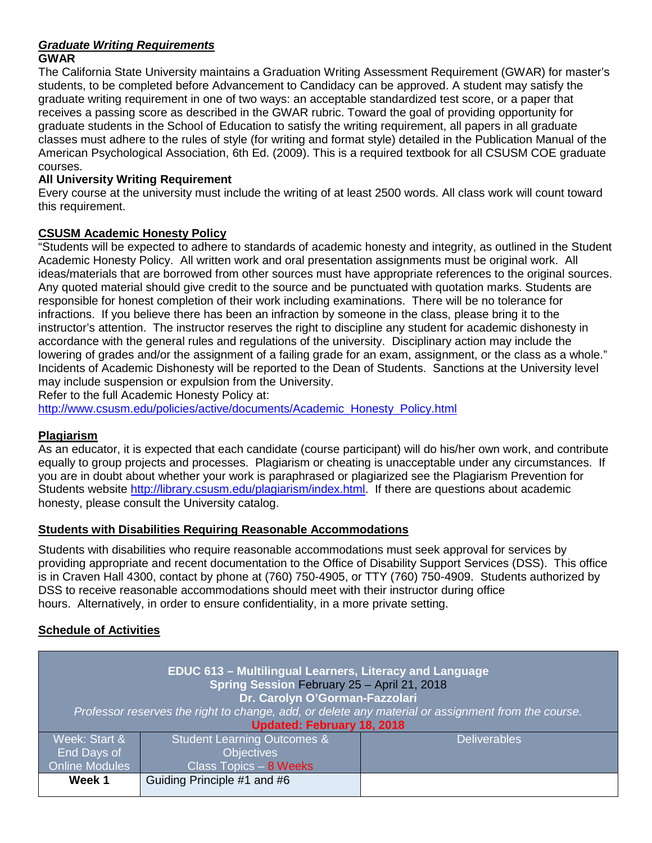#### *Graduate Writing Requirements* **GWAR**

The California State University maintains a Graduation Writing Assessment Requirement (GWAR) for master's students, to be completed before Advancement to Candidacy can be approved. A student may satisfy the graduate writing requirement in one of two ways: an acceptable standardized test score, or a paper that receives a passing score as described in the GWAR rubric. Toward the goal of providing opportunity for graduate students in the School of Education to satisfy the writing requirement, all papers in all graduate classes must adhere to the rules of style (for writing and format style) detailed in the Publication Manual of the American Psychological Association, 6th Ed. (2009). This is a required textbook for all CSUSM COE graduate courses.

# **All University Writing Requirement**

Every course at the university must include the writing of at least 2500 words. All class work will count toward this requirement.

## **CSUSM Academic Honesty Policy**

"Students will be expected to adhere to standards of academic honesty and integrity, as outlined in the Student Academic Honesty Policy. All written work and oral presentation assignments must be original work. All ideas/materials that are borrowed from other sources must have appropriate references to the original sources. Any quoted material should give credit to the source and be punctuated with quotation marks. Students are responsible for honest completion of their work including examinations. There will be no tolerance for infractions. If you believe there has been an infraction by someone in the class, please bring it to the instructor's attention. The instructor reserves the right to discipline any student for academic dishonesty in accordance with the general rules and regulations of the university. Disciplinary action may include the lowering of grades and/or the assignment of a failing grade for an exam, assignment, or the class as a whole." Incidents of Academic Dishonesty will be reported to the Dean of Students. Sanctions at the University level may include suspension or expulsion from the University.

Refer to the full Academic Honesty Policy at:

[http://www.csusm.edu/policies/active/documents/Academic\\_Honesty\\_Policy.html](http://www.csusm.edu/policies/active/documents/Academic_Honesty_Policy.html)

## **Plagiarism**

As an educator, it is expected that each candidate (course participant) will do his/her own work, and contribute equally to group projects and processes. Plagiarism or cheating is unacceptable under any circumstances. If you are in doubt about whether your work is paraphrased or plagiarized see the Plagiarism Prevention for Students website [http://library.csusm.edu/plagiarism/index.html.](http://library.csusm.edu/plagiarism/index.html) If there are questions about academic honesty, please consult the University catalog.

## **Students with Disabilities Requiring Reasonable Accommodations**

Students with disabilities who require reasonable accommodations must seek approval for services by providing appropriate and recent documentation to the Office of Disability Support Services (DSS). This office is in Craven Hall 4300, contact by phone at (760) 750-4905, or TTY (760) 750-4909. Students authorized by DSS to receive reasonable accommodations should meet with their instructor during office hours. Alternatively, in order to ensure confidentiality, in a more private setting.

## **Schedule of Activities**

| EDUC 613 - Multilingual Learners, Literacy and Language<br>Spring Session February 25 - April 21, 2018<br>Dr. Carolyn O'Gorman-Fazzolari |                             |                     |
|------------------------------------------------------------------------------------------------------------------------------------------|-----------------------------|---------------------|
| Professor reserves the right to change, add, or delete any material or assignment from the course.                                       |                             |                     |
| Updated: February 18, 2018                                                                                                               |                             |                     |
| Week: Start &                                                                                                                            | Student Learning Outcomes & | <b>Deliverables</b> |
| End Days of                                                                                                                              | <b>Objectives</b>           |                     |
| <b>Online Modules</b>                                                                                                                    | Class Topics - 8 Weeks      |                     |
| Week 1                                                                                                                                   | Guiding Principle #1 and #6 |                     |
|                                                                                                                                          |                             |                     |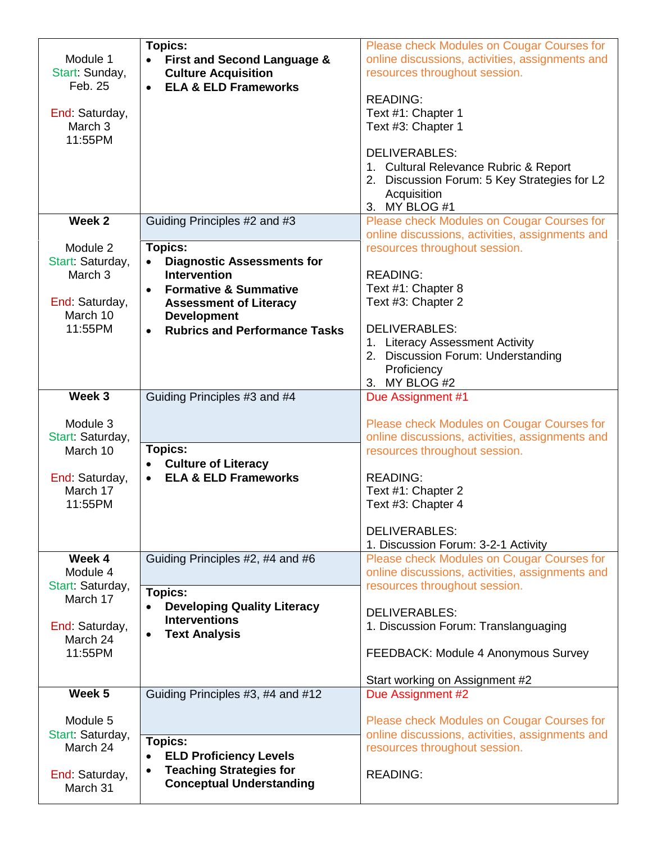| Module 1<br>Start: Sunday,<br>Feb. 25<br>End: Saturday,<br>March 3<br>11:55PM                        | Topics:<br>• First and Second Language &<br><b>Culture Acquisition</b><br><b>ELA &amp; ELD Frameworks</b><br>$\bullet$                                                                                                                                                                                        | Please check Modules on Cougar Courses for<br>online discussions, activities, assignments and<br>resources throughout session.<br><b>READING:</b><br>Text #1: Chapter 1<br>Text #3: Chapter 1<br><b>DELIVERABLES:</b><br>1. Cultural Relevance Rubric & Report<br>2. Discussion Forum: 5 Key Strategies for L2<br>Acquisition<br>3. MY BLOG #1         |
|------------------------------------------------------------------------------------------------------|---------------------------------------------------------------------------------------------------------------------------------------------------------------------------------------------------------------------------------------------------------------------------------------------------------------|--------------------------------------------------------------------------------------------------------------------------------------------------------------------------------------------------------------------------------------------------------------------------------------------------------------------------------------------------------|
| Week 2<br>Module 2<br>Start: Saturday,<br>March 3<br>End: Saturday,<br>March 10<br>11:55PM<br>Week 3 | Guiding Principles #2 and #3<br>Topics:<br><b>Diagnostic Assessments for</b><br>$\bullet$<br><b>Intervention</b><br><b>Formative &amp; Summative</b><br>$\bullet$<br><b>Assessment of Literacy</b><br><b>Development</b><br><b>Rubrics and Performance Tasks</b><br>$\bullet$<br>Guiding Principles #3 and #4 | Please check Modules on Cougar Courses for<br>online discussions, activities, assignments and<br>resources throughout session.<br><b>READING:</b><br>Text #1: Chapter 8<br>Text #3: Chapter 2<br><b>DELIVERABLES:</b><br>1. Literacy Assessment Activity<br>2. Discussion Forum: Understanding<br>Proficiency<br>MY BLOG #2<br>3.<br>Due Assignment #1 |
| Module 3<br>Start: Saturday,<br>March 10<br>End: Saturday,<br>March 17<br>11:55PM                    | Topics:<br><b>Culture of Literacy</b><br><b>ELA &amp; ELD Frameworks</b><br>$\bullet$                                                                                                                                                                                                                         | Please check Modules on Cougar Courses for<br>online discussions, activities, assignments and<br>resources throughout session.<br><b>READING:</b><br>Text #1: Chapter 2<br>Text #3: Chapter 4<br><b>DELIVERABLES:</b><br>1. Discussion Forum: 3-2-1 Activity                                                                                           |
| Week 4<br>Module 4<br>Start: Saturday,<br>March 17<br>End: Saturday,<br>March 24<br>11:55PM          | Guiding Principles #2, #4 and #6<br>Topics:<br><b>Developing Quality Literacy</b><br>$\bullet$<br><b>Interventions</b><br><b>Text Analysis</b><br>$\bullet$                                                                                                                                                   | Please check Modules on Cougar Courses for<br>online discussions, activities, assignments and<br>resources throughout session.<br>DELIVERABLES:<br>1. Discussion Forum: Translanguaging<br>FEEDBACK: Module 4 Anonymous Survey<br>Start working on Assignment #2                                                                                       |
| Week 5<br>Module 5<br>Start: Saturday,<br>March 24<br>End: Saturday,<br>March 31                     | Guiding Principles #3, #4 and #12<br>Topics:<br><b>ELD Proficiency Levels</b><br>$\bullet$<br><b>Teaching Strategies for</b><br>$\bullet$<br><b>Conceptual Understanding</b>                                                                                                                                  | Due Assignment #2<br>Please check Modules on Cougar Courses for<br>online discussions, activities, assignments and<br>resources throughout session.<br><b>READING:</b>                                                                                                                                                                                 |